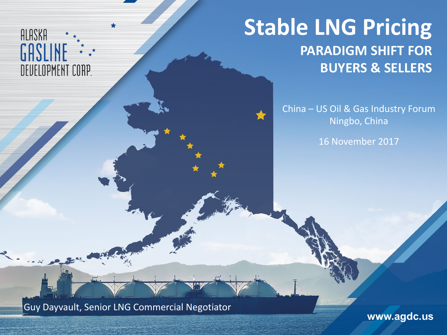#### ALASKA GASLINE DEUELOPMENT CORP.

## **Stable LNG Pricing PARADIGM SHIFT FOR BUYERS & SELLERS**

China – US Oil & Gas Industry Forum Ningbo, China

16 November 2017

Guy Dayvault, Senior LNG Commercial Negotiator

www.agdc.us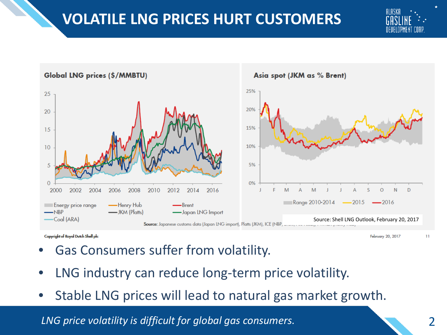### **VOLATILE LNG PRICES HURT CUSTOMERS**





Copyright of Royal Dutch Shell plc

February 20, 2017

- Gas Consumers suffer from volatility.
- LNG industry can reduce long-term price volatility.
- Stable LNG prices will lead to natural gas market growth.

*LNG price volatility is difficult for global gas consumers.*

11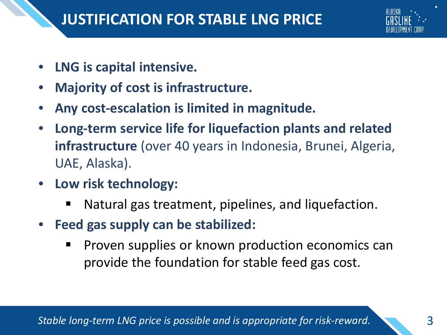

- **LNG is capital intensive.**
- **Majority of cost is infrastructure.**
- **Any cost-escalation is limited in magnitude.**
- **Long-term service life for liquefaction plants and related infrastructure** (over 40 years in Indonesia, Brunei, Algeria, UAE, Alaska).
- **Low risk technology:**
	- Natural gas treatment, pipelines, and liquefaction.
- **Feed gas supply can be stabilized:**
	- **Proven supplies or known production economics can** provide the foundation for stable feed gas cost.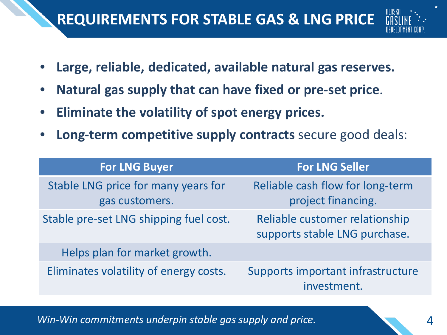### **REQUIREMENTS FOR STABLE GAS & LNG PRICE**



- **Large, reliable, dedicated, available natural gas reserves.**
- **Natural gas supply that can have fixed or pre-set price**.
- **Eliminate the volatility of spot energy prices.**
- **Long-term competitive supply contracts** secure good deals:

| <b>For LNG Buyer</b>                                  | <b>For LNG Seller</b>                                           |
|-------------------------------------------------------|-----------------------------------------------------------------|
| Stable LNG price for many years for<br>gas customers. | Reliable cash flow for long-term<br>project financing.          |
| Stable pre-set LNG shipping fuel cost.                | Reliable customer relationship<br>supports stable LNG purchase. |
| Helps plan for market growth.                         |                                                                 |
| Eliminates volatility of energy costs.                | Supports important infrastructure<br>investment.                |

*Win-Win commitments underpin stable gas supply and price.*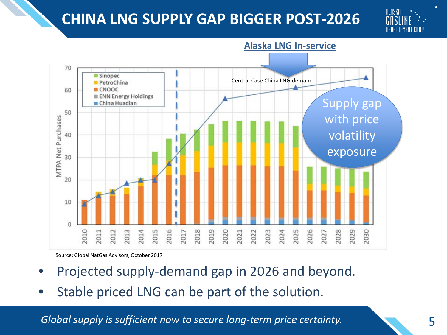#### **CHINA LNG SUPPLY GAP BIGGER POST-2026**





**Alaska LNG In-service**

Source: Global NatGas Advisors, October 2017

- Projected supply-demand gap in 2026 and beyond.
- Stable priced LNG can be part of the solution.

*Global supply is sufficient now to secure long-term price certainty.*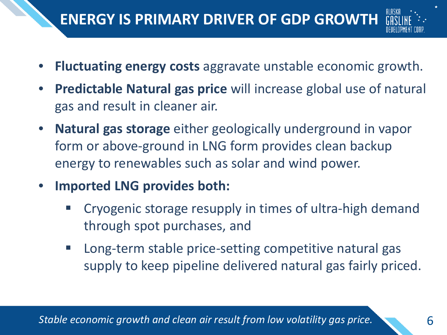# **ENERGY IS PRIMARY DRIVER OF GDP GROWTH**

- 
- **Fluctuating energy costs** aggravate unstable economic growth.
- **Predictable Natural gas price** will increase global use of natural gas and result in cleaner air.
- **Natural gas storage** either geologically underground in vapor form or above-ground in LNG form provides clean backup energy to renewables such as solar and wind power.
- **Imported LNG provides both:** 
	- Cryogenic storage resupply in times of ultra-high demand through spot purchases, and
	- Long-term stable price-setting competitive natural gas supply to keep pipeline delivered natural gas fairly priced.